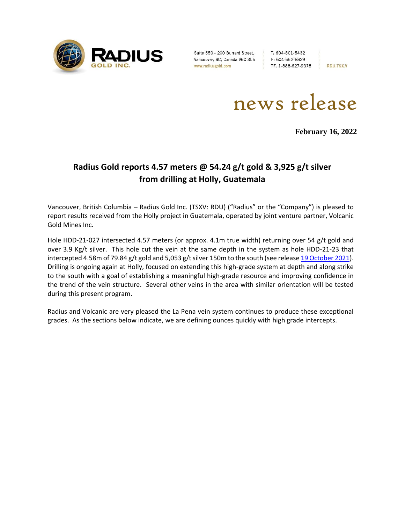

Suite 650 - 200 Burrard Street, Vancouver, BC, Canada V6C 3L6 www.radiusgold.com

T: 604-801-5432 F: 604-662-8829 TF: 1-888-627-9378

**RDU:TSX.V** 

news release

**February 16, 2022**

# **Radius Gold reports 4.57 meters @ 54.24 g/t gold & 3,925 g/t silver from drilling at Holly, Guatemala**

Vancouver, British Columbia – Radius Gold Inc. (TSXV: RDU) ("Radius" or the "Company") is pleased to report results received from the Holly project in Guatemala, operated by joint venture partner, Volcanic Gold Mines Inc.

Hole HDD-21-027 intersected 4.57 meters (or approx. 4.1m true width) returning over 54 g/t gold and over 3.9 Kg/t silver. This hole cut the vein at the same depth in the system as hole HDD-21-23 that intercepted 4.58m of 79.84 g/t gold and 5,053 g/t silver 150m to the south (see release [19 October 2021\)](https://radiusgold.com/site/assets/files/5814/2021-10-19-nr-rdu-c00ph55gguhas.pdf). Drilling is ongoing again at Holly, focused on extending this high-grade system at depth and along strike to the south with a goal of establishing a meaningful high-grade resource and improving confidence in the trend of the vein structure. Several other veins in the area with similar orientation will be tested during this present program.

Radius and Volcanic are very pleased the La Pena vein system continues to produce these exceptional grades. As the sections below indicate, we are defining ounces quickly with high grade intercepts.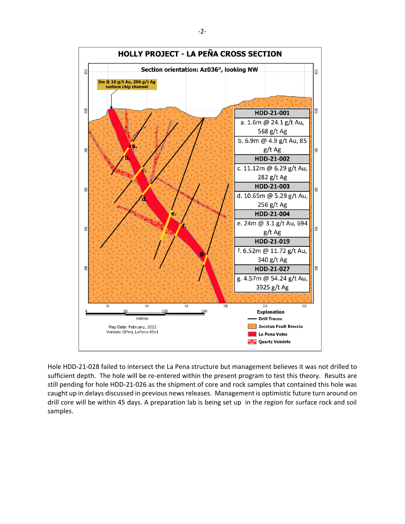

Hole HDD-21-028 failed to intersect the La Pena structure but management believes it was not drilled to sufficient depth. The hole will be re-entered within the present program to test this theory. Results are still pending for hole HDD-21-026 as the shipment of core and rock samples that contained this hole was caught up in delays discussed in previous news releases. Management is optimistic future turn around on drill core will be within 45 days. A preparation lab is being set up in the region for surface rock and soil samples.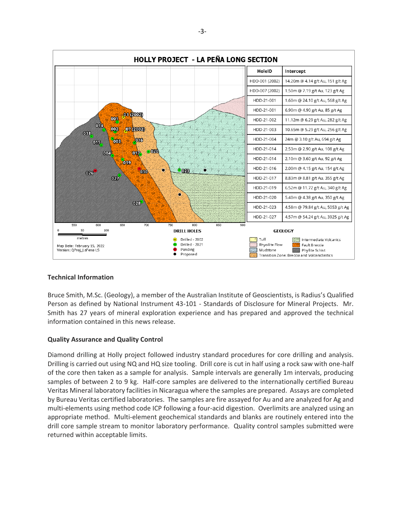

## **Technical Information**

Bruce Smith, M.Sc. (Geology), a member of the Australian Institute of Geoscientists, is Radius's Qualified Person as defined by National Instrument 43-101 - Standards of Disclosure for Mineral Projects. Mr. Smith has 27 years of mineral exploration experience and has prepared and approved the technical information contained in this news release.

## **Quality Assurance and Quality Control**

Diamond drilling at Holly project followed industry standard procedures for core drilling and analysis. Drilling is carried out using NQ and HQ size tooling. Drill core is cut in half using a rock saw with one-half of the core then taken as a sample for analysis. Sample intervals are generally 1m intervals, producing samples of between 2 to 9 kg. Half-core samples are delivered to the internationally certified Bureau Veritas Mineral laboratory facilities in Nicaragua where the samples are prepared. Assays are completed by Bureau Veritas certified laboratories. The samples are fire assayed for Au and are analyzed for Ag and multi-elements using method code ICP following a four-acid digestion. Overlimits are analyzed using an appropriate method. Multi-element geochemical standards and blanks are routinely entered into the drill core sample stream to monitor laboratory performance. Quality control samples submitted were returned within acceptable limits.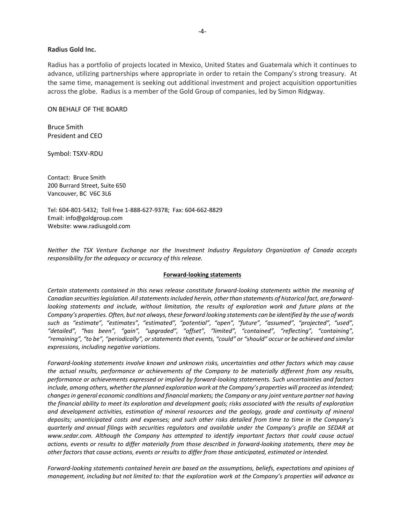#### **Radius Gold Inc.**

Radius has a portfolio of projects located in Mexico, United States and Guatemala which it continues to advance, utilizing partnerships where appropriate in order to retain the Company's strong treasury. At the same time, management is seeking out additional investment and project acquisition opportunities across the globe. Radius is a member of the Gold Group of companies, led by Simon Ridgway.

### ON BEHALF OF THE BOARD

Bruce Smith President and CEO

Symbol: TSXV-RDU

Contact: Bruce Smith 200 Burrard Street, Suite 650 Vancouver, BC V6C 3L6

Tel: 604-801-5432; Toll free 1-888-627-9378; Fax: 604-662-8829 Email: info@goldgroup.com Website: www.radiusgold.com

*Neither the TSX Venture Exchange nor the Investment Industry Regulatory Organization of Canada accepts responsibility for the adequacy or accuracy of this release.*

#### **Forward-looking statements**

*Certain statements contained in this news release constitute forward-looking statements within the meaning of Canadian securities legislation. All statements included herein, other than statements of historical fact, are forwardlooking statements and include, without limitation, the results of exploration work and future plans at the Company's properties. Often, but not always, these forward looking statements can be identified by the use of words such as "estimate", "estimates", "estimated", "potential", "open", "future", "assumed", "projected", "used", "detailed", "has been", "gain", "upgraded", "offset", "limited", "contained", "reflecting", "containing", "remaining", "to be", "periodically", or statements that events, "could" or "should" occur or be achieved and similar expressions, including negative variations.*

*Forward-looking statements involve known and unknown risks, uncertainties and other factors which may cause the actual results, performance or achievements of the Company to be materially different from any results, performance or achievements expressed or implied by forward-looking statements. Such uncertainties and factors include, among others, whether the planned exploration work at the Company's properties will proceed as intended; changes in general economic conditions and financial markets; the Company or any joint venture partner not having the financial ability to meet its exploration and development goals; risks associated with the results of exploration and development activities, estimation of mineral resources and the geology, grade and continuity of mineral deposits; unanticipated costs and expenses; and such other risks detailed from time to time in the Company's quarterly and annual filings with securities regulators and available under the Company's profile on SEDAR at [www.sedar.com.](http://www.sedar.com/) Although the Company has attempted to identify important factors that could cause actual actions, events or results to differ materially from those described in forward-looking statements, there may be other factors that cause actions, events or results to differ from those anticipated, estimated or intended.*

*Forward-looking statements contained herein are based on the assumptions, beliefs, expectations and opinions of management, including but not limited to: that the exploration work at the Company's properties will advance as*